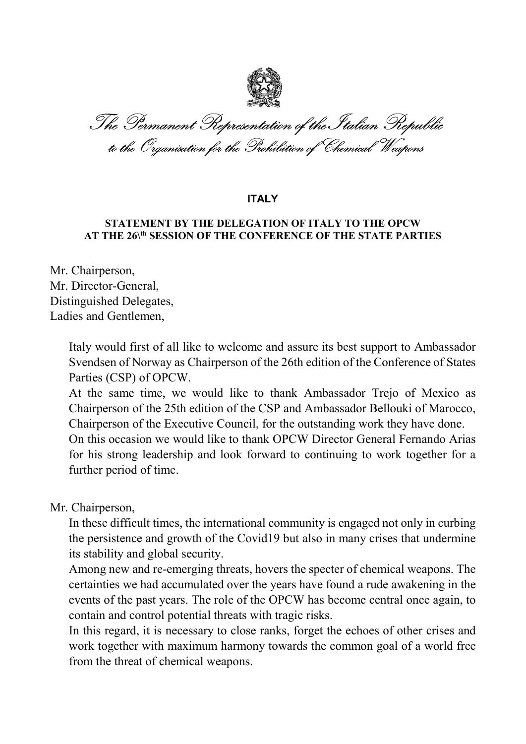

The Permanent Representation of the Italian Republic to the Organisation for the Prohibition of Chemical Weapons

## **ITALY**

## STATEMENT BY THE DELEGATION OF ITALY TO THE OPCW AT THE 26<sup>th</sup> SESSION OF THE CONFERENCE OF THE STATE PARTIES

Mr. Chairperson, Mr. Director-General, Distinguished Delegates, Ladies and Gentlemen,

> Italy would first of all like to welcome and assure its best support to Ambassador Svendsen of Norway as Chairperson of the 26th edition of the Conference of States Parties (CSP) of OPCW.

> At the same time, we would like to thank Ambassador Trejo of Mexico as Chairperson of the 25th edition of the CSP and Ambassador Bellouki of Marocco, Chairperson of the Executive Council, for the outstanding work they have done. On this occasion we would like to thank OPCW Director General Fernando Arias for his strong leadership and look forward to continuing to work together for a further period of time.

Mr. Chairperson,

In these difficult times, the international community is engaged not only in curbing the persistence and growth of the Covid19 but also in many crises that undermine its stability and global security.

Among new and re-emerging threats, hovers the specter of chemical weapons. The certainties we had accumulated over the years have found a rude awakening in the events of the past years. The role of the OPCW has become central once again, to contain and control potential threats with tragic risks.

In this regard, it is necessary to close ranks, forget the echoes of other crises and work together with maximum harmony towards the common goal of a world free from the threat of chemical weapons.